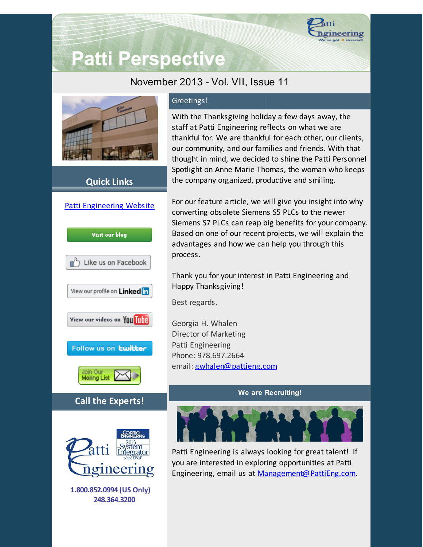

# **Patti Perspective**

# November 2013 - Vol. VII, Issue 11



# **Quick Links**



### Greetings!

With the Thanksgiving holiday a few days away, the staff at Patti Engineering reflects on what we are thankful for. We are thankful for each other, our clients, our community, and our families and friends. With that thought in mind, we decided to shine the Patti Personnel Spotlight on Anne Marie Thomas, the woman who keeps the company organized, productive and smiling.

For our feature article, we will give you insight into why converting obsolete Siemens S5 PLCs to the newer Siemens S7 PLCs can reap big benefits for your company. Based on one of our recent projects, we will explain the advantages and how we can help you through this process.

Thank you for your interest in Patti Engineering and Happy Thanksgiving!

Best regards,

Georgia H. Whalen Director of Marketing Patti Engineering Phone: 978.697.2664 email: [gwhalen@pattieng.com](mailto:gwhalen@pattieng.com)

#### **We are Recruiting!**



Patti Engineering is always looking for great talent! If you are interested in exploring opportunities at Patti Engineering, email us at [Management@PattiEng.com.](mailto:management@pattieng.com)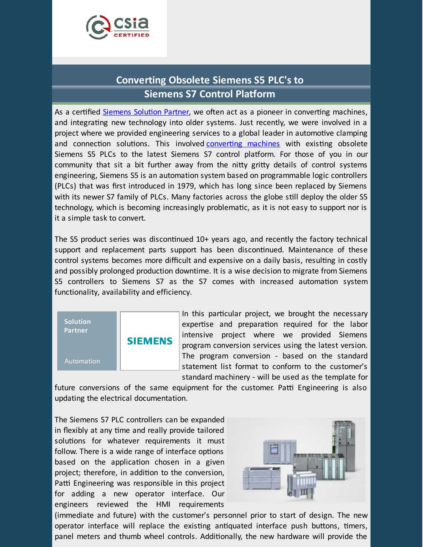

# **Converting Obsolete Siemens S5 PLC's to Siemens S7 Control Platform**

As a certified [Siemens](http://www.pattieng.com/partners-seimens-steeplechase-mitsubishi/siemens-integrator.html?utm_source=Patti+Perspective+November+2013&utm_campaign=Patti+Perspective+11_2013&utm_medium=email) Solution Partner, we often act as a pioneer in converting machines, and integrating new technology into older systems. Just recently, we were involved in a project where we provided engineering services to a global leader in automotive clamping and connection solutions. This involved converting machines with existing obsolete Siemens S5 PLCs to the latest Siemens S7 control platform. For those of you in our community that sit a bit further away from the nitty gritty details of control systems engineering, Siemens S5 is an automation system based on programmable logic controllers (PLCs) that was first introduced in 1979, which has long since been replaced by Siemens with its newer S7 family of PLCs. Many factories across the globe still deploy the older S5 technology, which is becoming increasingly problematic, as it is not easy to support nor is it a simple task to convert.

The S5 product series was discontinued  $10+$  years ago, and recently the factory technical support and replacement parts support has been discontinued. Maintenance of these control systems becomes more difficult and expensive on a daily basis, resulting in costly and possibly prolonged production downtime. It is a wise decision to migrate from Siemens S5 controllers to Siemens S7 as the S7 comes with increased automation system functionality, availability and efficiency.

| <b>Solution</b><br><b>Partner</b> | <b>SIEMENS</b> | e |
|-----------------------------------|----------------|---|
| Automation                        |                |   |

n this particular project, we brought the necessary xpertise and preparation required for the labor ntensive project where we provided Siemens rogram conversion services using the latest version. he program conversion - based on the standard tatement list format to conform to the customer's standard machinery - will be used as the template for

future conversions of the same equipment for the customer. Patti Engineering is also updating the electrical documentation.

The Siemens S7 PLC controllers can be expanded in flexibly at any time and really provide tailored solutions for whatever requirements it must follow. There is a wide range of interface options based on the application chosen in a given project; therefore, in addition to the conversion, Patti Engineering was responsible in this project for adding a new operator interface. Our engineers reviewed the HMI requirements



(immediate and future) with the customer's personnel prior to start of design. The new operator interface will replace the existing antiquated interface push buttons, timers, panel meters and thumb wheel controls. Additionally, the new hardware will provide the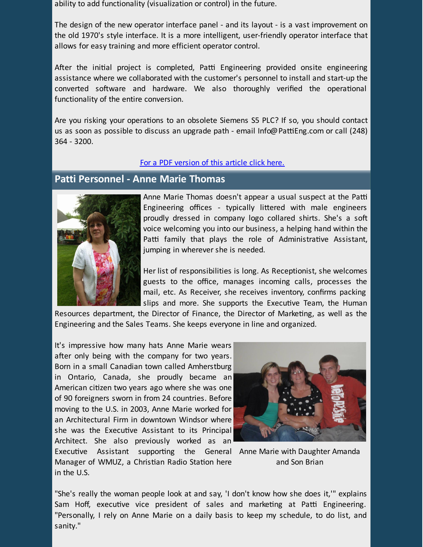ability to add functionality (visualization or control) in the future.

The design of the new operator interface panel - and its layout - is a vast improvement on the old 1970's style interface. It is a more intelligent, user-friendly operator interface that allows for easy training and more efficient operator control.

After the initial project is completed, Patti Engineering provided onsite engineering assistance where we collaborated with the customer's personnel to install and start-up the converted software and hardware. We also thoroughly verified the operational functionality of the entire conversion.

Are you risking your operations to an obsolete Siemens S5 PLC? If so, you should contact us as soon as possible to discuss an upgrade path - email Info@PattiEng.com or call (248) 364 - 3200.

#### For a PDF [version](https://origin.library.constantcontact.com/doc205/1101449641109/doc/LpZEQLMU1M3eKRfk.pdf) of this article click here.

## **Patti Personnel - Anne Marie Thomas**



Anne Marie Thomas doesn't appear a usual suspect at the Patti Engineering offices - typically littered with male engineers proudly dressed in company logo collared shirts. She's a soft voice welcoming you into our business, a helping hand within the Patti family that plays the role of Administrative Assistant, jumping in wherever she is needed.

Her list of responsibilities is long. As Receptionist, she welcomes guests to the office, manages incoming calls, processes the mail, etc. As Receiver, she receives inventory, confirms packing slips and more. She supports the Executive Team, the Human

Resources department, the Director of Finance, the Director of Marketing, as well as the Engineering and the Sales Teams. She keeps everyone in line and organized.

It's impressive how many hats Anne Marie wears after only being with the company for two years. Born in a small Canadian town called Amherstburg in Ontario, Canada, she proudly became an American citizen two years ago where she was one of 90 foreigners sworn in from 24 countries. Before moving to the U.S. in 2003, Anne Marie worked for an Architectural Firm in downtown Windsor where she was the Executive Assistant to its Principal Architect. She also previously worked as an



Executive Assistant supporting the General Anne-Marie-with-Daughter-Amanda and Son Brian Manager of WMUZ, a Christian Radio Station here in the U.S.

"She's really the woman people look at and say, 'I don't know how she does it,'" explains Sam Hoff, executive vice president of sales and marketing at Patti Engineering. "Personally, I rely on Anne Marie on a daily basis to keep my schedule, to do list, and sanity."